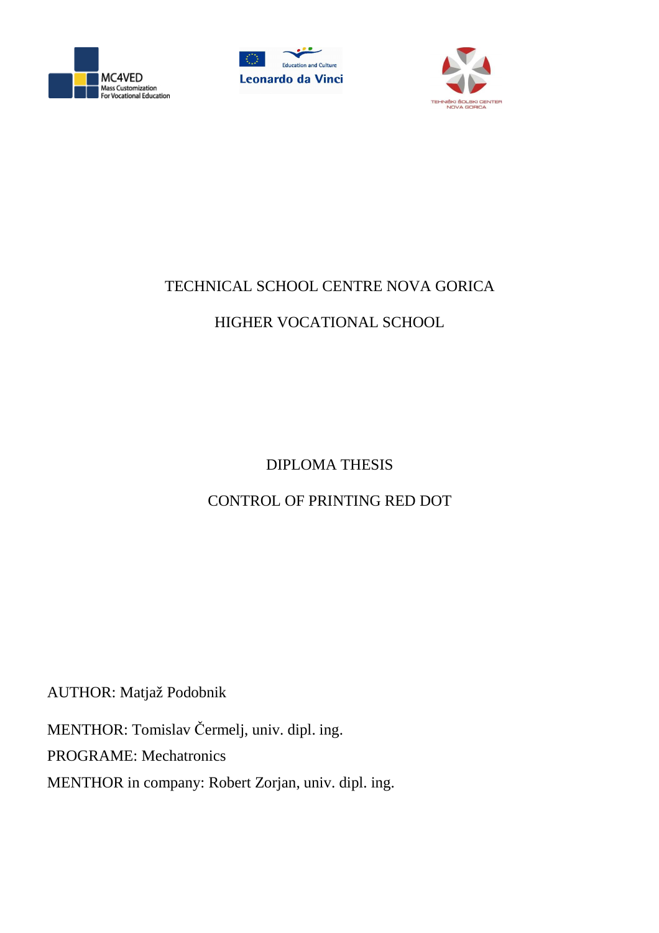





## TECHNICAL SCHOOL CENTRE NOVA GORICA

# HIGHER VOCATIONAL SCHOOL

# DIPLOMA THESIS

# CONTROL OF PRINTING RED DOT

AUTHOR: Matjaž Podobnik

MENTHOR: Tomislav Čermelj, univ. dipl. ing.

PROGRAME: Mechatronics

MENTHOR in company: Robert Zorjan, univ. dipl. ing.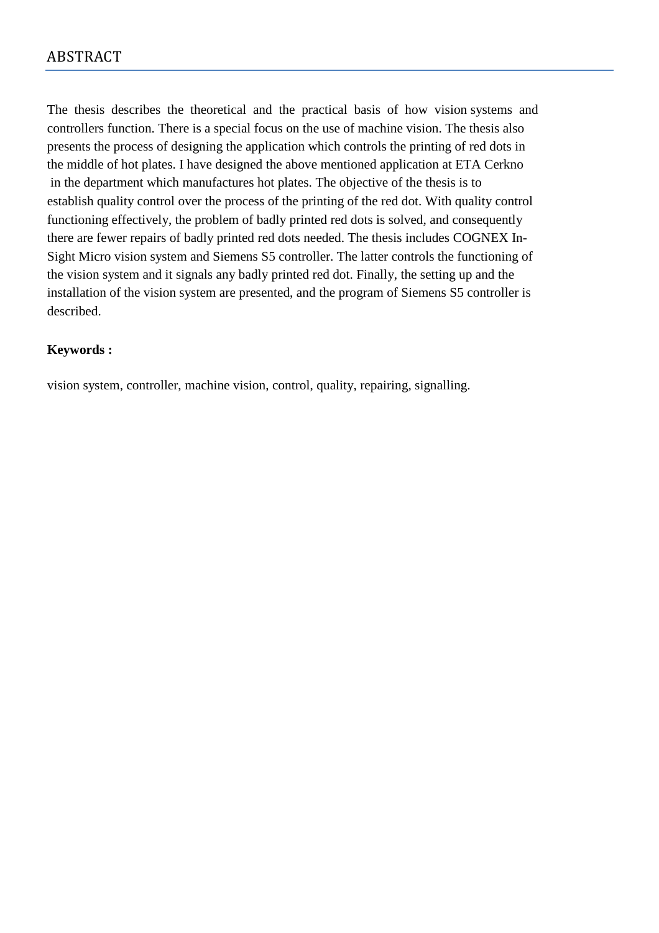The thesis describes the theoretical and the practical basis of how vision systems and controllers function. There is a special focus on the use of machine vision. The thesis also presents the process of designing the application which controls the printing of red dots in the middle of hot plates. I have designed the above mentioned application at ETA Cerkno in the department which manufactures hot plates. The objective of the thesis is to establish quality control over the process of the printing of the red dot. With quality control functioning effectively, the problem of badly printed red dots is solved, and consequently there are fewer repairs of badly printed red dots needed. The thesis includes COGNEX In-Sight Micro vision system and Siemens S5 controller. The latter controls the functioning of the vision system and it signals any badly printed red dot. Finally, the setting up and the installation of the vision system are presented, and the program of Siemens S5 controller is described.

## **Keywords :**

vision system, controller, machine vision, control, quality, repairing, signalling.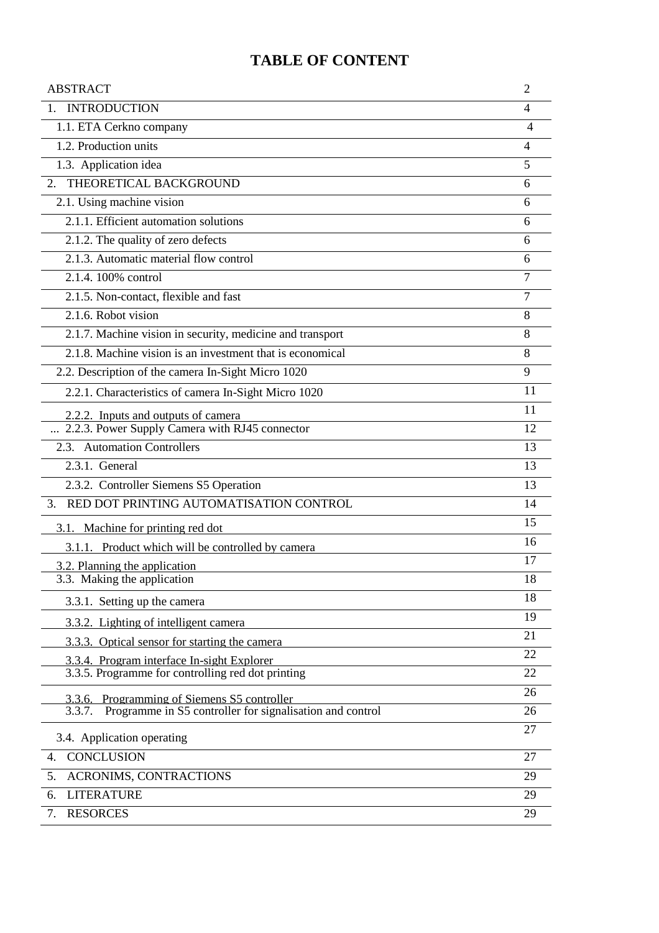## **TABLE OF CONTENT**

| <b>ABSTRACT</b>                                                    | $\overline{2}$           |
|--------------------------------------------------------------------|--------------------------|
| 1. INTRODUCTION                                                    | $\overline{\mathcal{A}}$ |
| 1.1. ETA Cerkno company                                            | 4                        |
| 1.2. Production units                                              | 4                        |
| 1.3. Application idea                                              | 5                        |
| THEORETICAL BACKGROUND<br>2.                                       | 6                        |
| 2.1. Using machine vision                                          | 6                        |
| 2.1.1. Efficient automation solutions                              | 6                        |
| 2.1.2. The quality of zero defects                                 | 6                        |
| 2.1.3. Automatic material flow control                             | 6                        |
| 2.1.4.100% control                                                 | 7                        |
| 2.1.5. Non-contact, flexible and fast                              | $\overline{7}$           |
| 2.1.6. Robot vision                                                | 8                        |
| 2.1.7. Machine vision in security, medicine and transport          | 8                        |
| 2.1.8. Machine vision is an investment that is economical          | 8                        |
| 2.2. Description of the camera In-Sight Micro 1020                 | 9                        |
| 2.2.1. Characteristics of camera In-Sight Micro 1020               | 11                       |
| 2.2.2. Inputs and outputs of camera                                | 11                       |
| 2.2.3. Power Supply Camera with RJ45 connector                     | 12                       |
| 2.3. Automation Controllers                                        | 13                       |
| 2.3.1. General                                                     | 13                       |
| 2.3.2. Controller Siemens S5 Operation                             | 13                       |
| RED DOT PRINTING AUTOMATISATION CONTROL<br>3.                      | 14                       |
| 3.1. Machine for printing red dot                                  | 15                       |
| 3.1.1. Product which will be controlled by camera                  | 16                       |
| 3.2. Planning the application                                      | 17                       |
| 3.3. Making the application                                        | 18                       |
| 3.3.1. Setting up the camera                                       | 18                       |
| 3.3.2. Lighting of intelligent camera                              | 19                       |
| 3.3.3. Optical sensor for starting the camera                      | 21                       |
| 3.3.4. Program interface In-sight Explorer                         | 22                       |
| 3.3.5. Programme for controlling red dot printing                  | 22                       |
| 3.3.6. Programming of Siemens S5 controller                        | 26                       |
| Programme in S5 controller for signalisation and control<br>3.3.7. | 26                       |
| 3.4. Application operating                                         | 27                       |
| <b>CONCLUSION</b><br>4.                                            | 27                       |
| 5.<br>ACRONIMS, CONTRACTIONS                                       | 29                       |
| <b>LITERATURE</b><br>6.                                            | 29                       |
| <b>RESORCES</b><br>7.                                              | 29                       |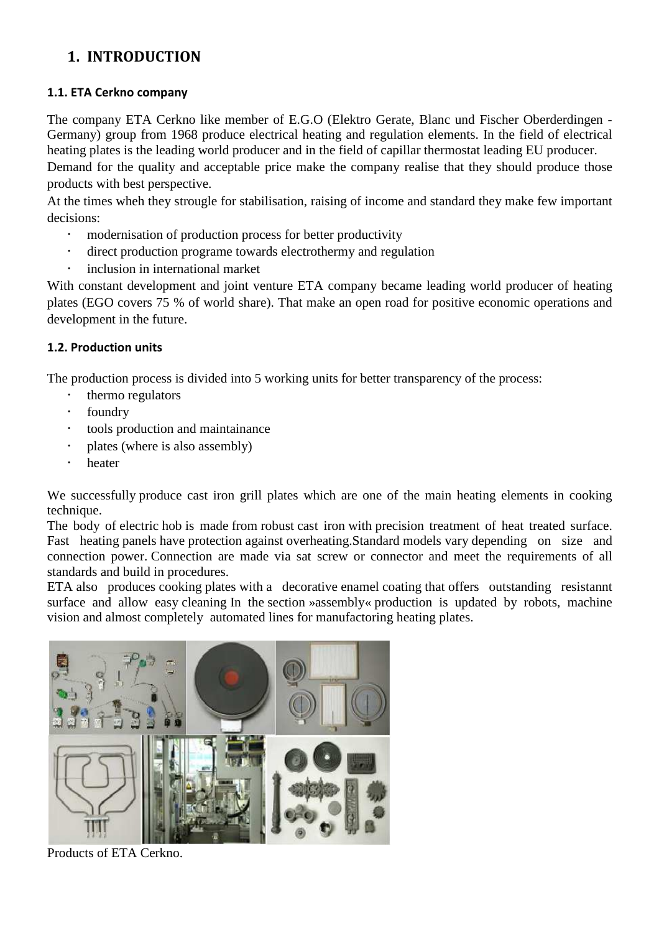## **1. INTRODUCTION**

## **1.1. ETA Cerkno company**

The company ETA Cerkno like member of E.G.O (Elektro Gerate, Blanc und Fischer Oberderdingen - Germany) group from 1968 produce electrical heating and regulation elements. In the field of electrical heating plates is the leading world producer and in the field of capillar thermostat leading EU producer. Demand for the quality and acceptable price make the company realise that they should produce those products with best perspective.

At the times wheh they strougle for stabilisation, raising of income and standard they make few important decisions:

- modernisation of production process for better productivity
- direct production programe towards electrothermy and regulation
- inclusion in international market

With constant development and joint venture ETA company became leading world producer of heating plates (EGO covers 75 % of world share). That make an open road for positive economic operations and development in the future.

## **1.2. Production units**

The production process is divided into 5 working units for better transparency of the process:

- **thermo regulators**
- foundry
- tools production and maintainance
- plates (where is also assembly)
- heater

We successfully produce cast iron grill plates which are one of the main heating elements in cooking technique.

The body of electric hob is made from robust cast iron with precision treatment of heat treated surface. Fast heating panels have protection against overheating.Standard models vary depending on size and connection power. Connection are made via sat screw or connector and meet the requirements of all standards and build in procedures.

ETA also produces cooking plates with a decorative enamel coating that offers outstanding resistannt surface and allow easy cleaning In the section »assembly« production is updated by robots, machine vision and almost completely automated lines for manufactoring heating plates.



Products of ETA Cerkno.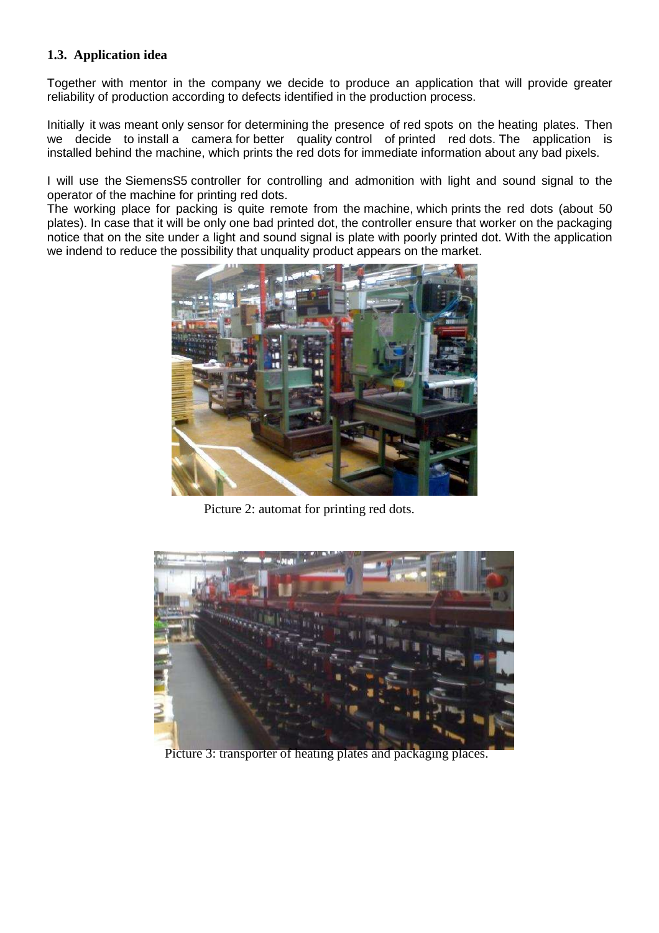#### **1.3. Application idea**

Together with mentor in the company we decide to produce an application that will provide greater reliability of production according to defects identified in the production process.

Initially it was meant only sensor for determining the presence of red spots on the heating plates. Then we decide to install a camera for better quality control of printed red dots. The application is installed behind the machine, which prints the red dots for immediate information about any bad pixels.

I will use the SiemensS5 controller for controlling and admonition with light and sound signal to the operator of the machine for printing red dots.

The working place for packing is quite remote from the machine, which prints the red dots (about 50 plates). In case that it will be only one bad printed dot, the controller ensure that worker on the packaging notice that on the site under a light and sound signal is plate with poorly printed dot. With the application we indend to reduce the possibility that unquality product appears on the market.



Picture 2: automat for printing red dots.



Picture 3: transporter of heating plates and packaging places.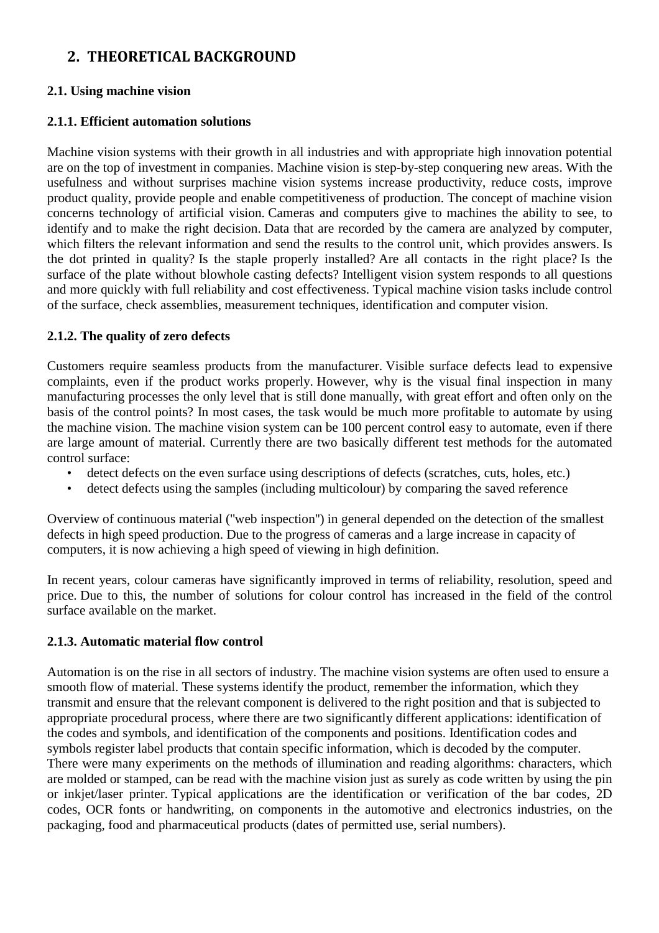## **2. THEORETICAL BACKGROUND**

#### **2.1. Using machine vision**

#### **2.1.1. Efficient automation solutions**

Machine vision systems with their growth in all industries and with appropriate high innovation potential are on the top of investment in companies. Machine vision is step-by-step conquering new areas. With the usefulness and without surprises machine vision systems increase productivity, reduce costs, improve product quality, provide people and enable competitiveness of production. The concept of machine vision concerns technology of artificial vision. Cameras and computers give to machines the ability to see, to identify and to make the right decision. Data that are recorded by the camera are analyzed by computer, which filters the relevant information and send the results to the control unit, which provides answers. Is the dot printed in quality? Is the staple properly installed? Are all contacts in the right place? Is the surface of the plate without blowhole casting defects? Intelligent vision system responds to all questions and more quickly with full reliability and cost effectiveness. Typical machine vision tasks include control of the surface, check assemblies, measurement techniques, identification and computer vision.

### **2.1.2. The quality of zero defects**

Customers require seamless products from the manufacturer. Visible surface defects lead to expensive complaints, even if the product works properly. However, why is the visual final inspection in many manufacturing processes the only level that is still done manually, with great effort and often only on the basis of the control points? In most cases, the task would be much more profitable to automate by using the machine vision. The machine vision system can be 100 percent control easy to automate, even if there are large amount of material. Currently there are two basically different test methods for the automated control surface:

- detect defects on the even surface using descriptions of defects (scratches, cuts, holes, etc.)
- detect defects using the samples (including multicolour) by comparing the saved reference

Overview of continuous material (''web inspection'') in general depended on the detection of the smallest defects in high speed production. Due to the progress of cameras and a large increase in capacity of computers, it is now achieving a high speed of viewing in high definition.

In recent years, colour cameras have significantly improved in terms of reliability, resolution, speed and price. Due to this, the number of solutions for colour control has increased in the field of the control surface available on the market.

#### **2.1.3. Automatic material flow control**

Automation is on the rise in all sectors of industry. The machine vision systems are often used to ensure a smooth flow of material. These systems identify the product, remember the information, which they transmit and ensure that the relevant component is delivered to the right position and that is subjected to appropriate procedural process, where there are two significantly different applications: identification of the codes and symbols, and identification of the components and positions. Identification codes and symbols register label products that contain specific information, which is decoded by the computer. There were many experiments on the methods of illumination and reading algorithms: characters, which are molded or stamped, can be read with the machine vision just as surely as code written by using the pin or inkjet/laser printer. Typical applications are the identification or verification of the bar codes, 2D codes, OCR fonts or handwriting, on components in the automotive and electronics industries, on the packaging, food and pharmaceutical products (dates of permitted use, serial numbers).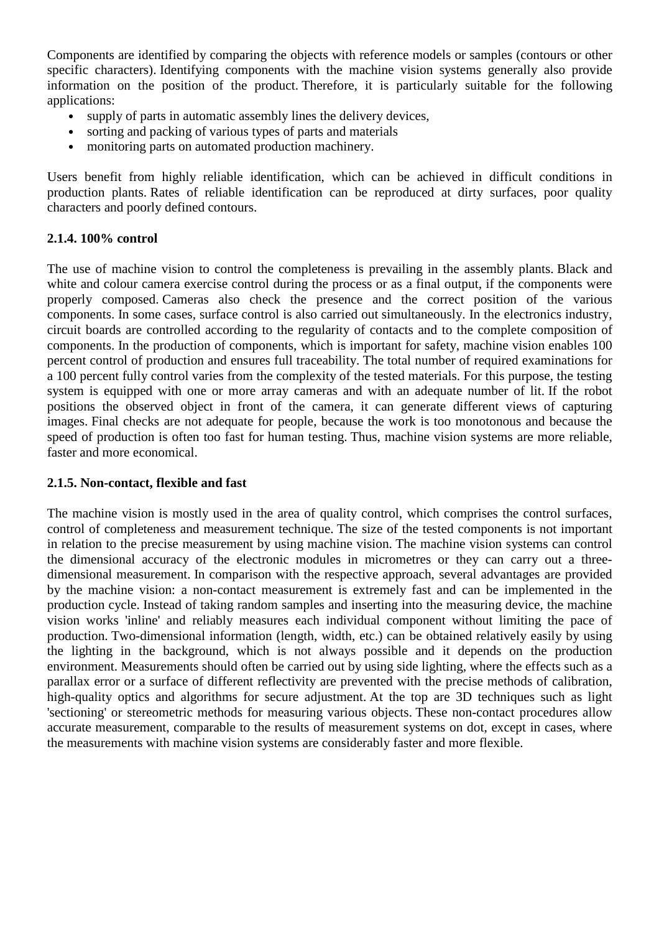Components are identified by comparing the objects with reference models or samples (contours or other specific characters). Identifying components with the machine vision systems generally also provide information on the position of the product. Therefore, it is particularly suitable for the following applications:

- supply of parts in automatic assembly lines the delivery devices,
- sorting and packing of various types of parts and materials
- monitoring parts on automated production machinery.

Users benefit from highly reliable identification, which can be achieved in difficult conditions in production plants. Rates of reliable identification can be reproduced at dirty surfaces, poor quality characters and poorly defined contours.

#### **2.1.4. 100% control**

The use of machine vision to control the completeness is prevailing in the assembly plants. Black and white and colour camera exercise control during the process or as a final output, if the components were properly composed. Cameras also check the presence and the correct position of the various components. In some cases, surface control is also carried out simultaneously. In the electronics industry, circuit boards are controlled according to the regularity of contacts and to the complete composition of components. In the production of components, which is important for safety, machine vision enables 100 percent control of production and ensures full traceability. The total number of required examinations for a 100 percent fully control varies from the complexity of the tested materials. For this purpose, the testing system is equipped with one or more array cameras and with an adequate number of lit. If the robot positions the observed object in front of the camera, it can generate different views of capturing images. Final checks are not adequate for people, because the work is too monotonous and because the speed of production is often too fast for human testing. Thus, machine vision systems are more reliable, faster and more economical.

#### **2.1.5. Non-contact, flexible and fast**

The machine vision is mostly used in the area of quality control, which comprises the control surfaces, control of completeness and measurement technique. The size of the tested components is not important in relation to the precise measurement by using machine vision. The machine vision systems can control the dimensional accuracy of the electronic modules in micrometres or they can carry out a threedimensional measurement. In comparison with the respective approach, several advantages are provided by the machine vision: a non-contact measurement is extremely fast and can be implemented in the production cycle. Instead of taking random samples and inserting into the measuring device, the machine vision works 'inline' and reliably measures each individual component without limiting the pace of production. Two-dimensional information (length, width, etc.) can be obtained relatively easily by using the lighting in the background, which is not always possible and it depends on the production environment. Measurements should often be carried out by using side lighting, where the effects such as a parallax error or a surface of different reflectivity are prevented with the precise methods of calibration, high-quality optics and algorithms for secure adjustment. At the top are 3D techniques such as light 'sectioning' or stereometric methods for measuring various objects. These non-contact procedures allow accurate measurement, comparable to the results of measurement systems on dot, except in cases, where the measurements with machine vision systems are considerably faster and more flexible.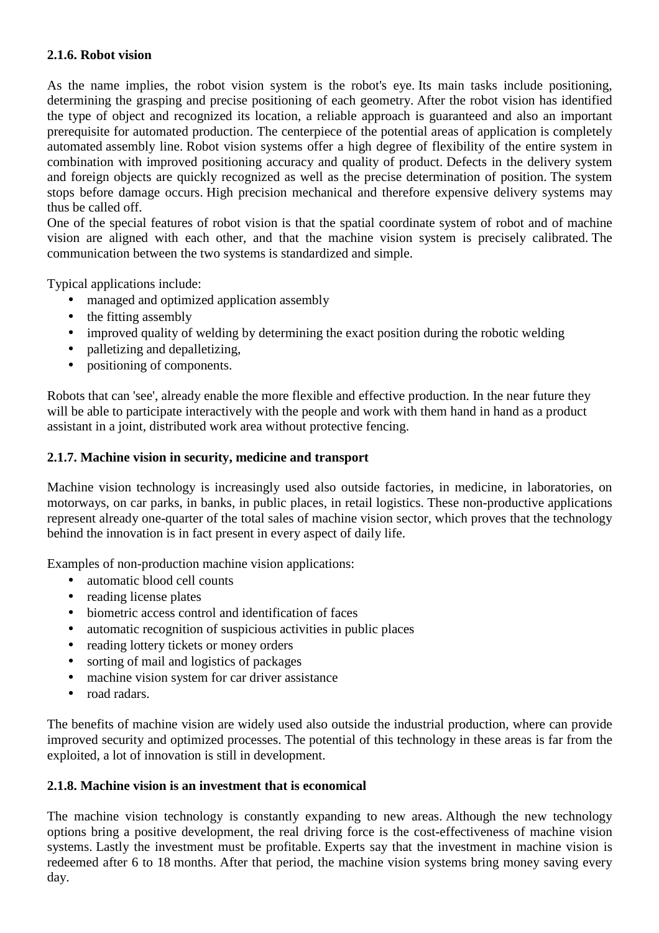#### **2.1.6. Robot vision**

As the name implies, the robot vision system is the robot's eye. Its main tasks include positioning, determining the grasping and precise positioning of each geometry. After the robot vision has identified the type of object and recognized its location, a reliable approach is guaranteed and also an important prerequisite for automated production. The centerpiece of the potential areas of application is completely automated assembly line. Robot vision systems offer a high degree of flexibility of the entire system in combination with improved positioning accuracy and quality of product. Defects in the delivery system and foreign objects are quickly recognized as well as the precise determination of position. The system stops before damage occurs. High precision mechanical and therefore expensive delivery systems may thus be called off.

One of the special features of robot vision is that the spatial coordinate system of robot and of machine vision are aligned with each other, and that the machine vision system is precisely calibrated. The communication between the two systems is standardized and simple.

Typical applications include:

- managed and optimized application assembly
- the fitting assembly
- improved quality of welding by determining the exact position during the robotic welding
- palletizing and depalletizing,
- positioning of components.

Robots that can 'see', already enable the more flexible and effective production. In the near future they will be able to participate interactively with the people and work with them hand in hand as a product assistant in a joint, distributed work area without protective fencing.

#### **2.1.7. Machine vision in security, medicine and transport**

Machine vision technology is increasingly used also outside factories, in medicine, in laboratories, on motorways, on car parks, in banks, in public places, in retail logistics. These non-productive applications represent already one-quarter of the total sales of machine vision sector, which proves that the technology behind the innovation is in fact present in every aspect of daily life.

Examples of non-production machine vision applications:

- automatic blood cell counts
- reading license plates
- biometric access control and identification of faces
- automatic recognition of suspicious activities in public places
- reading lottery tickets or money orders
- sorting of mail and logistics of packages
- machine vision system for car driver assistance
- road radars.

The benefits of machine vision are widely used also outside the industrial production, where can provide improved security and optimized processes. The potential of this technology in these areas is far from the exploited, a lot of innovation is still in development.

#### **2.1.8. Machine vision is an investment that is economical**

The machine vision technology is constantly expanding to new areas. Although the new technology options bring a positive development, the real driving force is the cost-effectiveness of machine vision systems. Lastly the investment must be profitable. Experts say that the investment in machine vision is redeemed after 6 to 18 months. After that period, the machine vision systems bring money saving every day.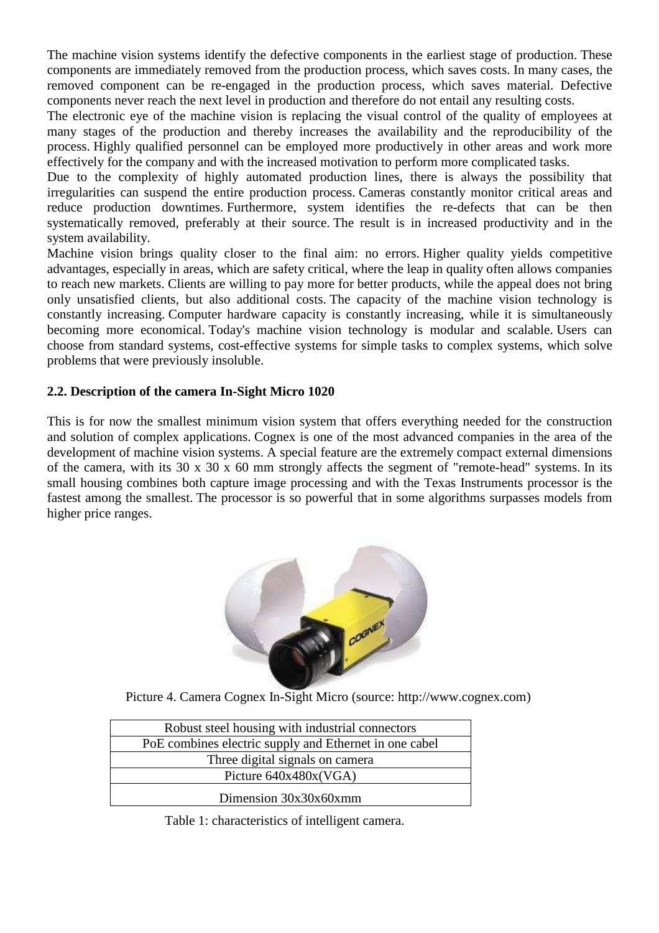The machine vision systems identify the defective components in the earliest stage of production. These components are immediately removed from the production process, which saves costs. In many cases, the removed component can be re-engaged in the production process, which saves material. Defective components never reach the next level in production and therefore do not entail any resulting costs.

The electronic eye of the machine vision is replacing the visual control of the quality of employees at many stages of the production and thereby increases the availability and the reproducibility of the process. Highly qualified personnel can be employed more productively in other areas and work more effectively for the company and with the increased motivation to perform more complicated tasks.

Due to the complexity of highly automated production lines, there is always the possibility that irregularities can suspend the entire production process. Cameras constantly monitor critical areas and reduce production downtimes. Furthermore, system identifies the re-defects that can be then systematically removed, preferably at their source. The result is in increased productivity and in the system availability.

Machine vision brings quality closer to the final aim: no errors. Higher quality yields competitive advantages, especially in areas, which are safety critical, where the leap in quality often allows companies to reach new markets. Clients are willing to pay more for better products, while the appeal does not bring only unsatisfied clients, but also additional costs. The capacity of the machine vision technology is constantly increasing. Computer hardware capacity is constantly increasing, while it is simultaneously becoming more economical. Today's machine vision technology is modular and scalable. Users can choose from standard systems, cost-effective systems for simple tasks to complex systems, which solve problems that were previously insoluble.

### **2.2. Description of the camera In-Sight Micro 1020**

This is for now the smallest minimum vision system that offers everything needed for the construction and solution of complex applications. Cognex is one of the most advanced companies in the area of the development of machine vision systems. A special feature are the extremely compact external dimensions of the camera, with its 30 x 30 x 60 mm strongly affects the segment of "remote-head" systems. In its small housing combines both capture image processing and with the Texas Instruments processor is the fastest among the smallest. The processor is so powerful that in some algorithms surpasses models from higher price ranges.



Picture 4. Camera Cognex In-Sight Micro (source: http://www.cognex.com)

| Robust steel housing with industrial connectors        |
|--------------------------------------------------------|
| PoE combines electric supply and Ethernet in one cabel |
| Three digital signals on camera                        |
| Picture $640x480x(VGA)$                                |
| Dimension 30x30x60xmm                                  |

Table 1: characteristics of intelligent camera.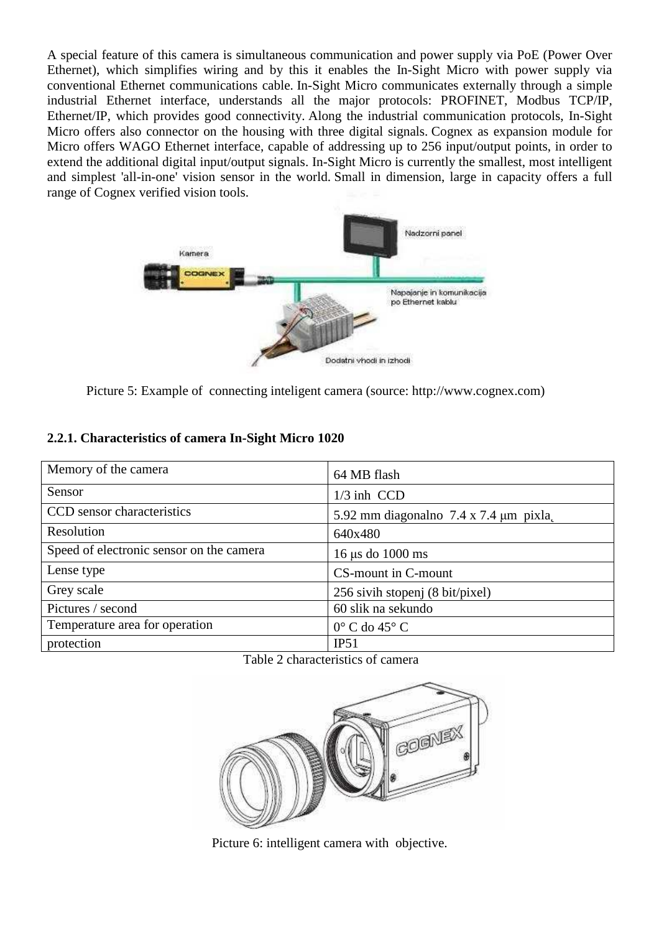A special feature of this camera is simultaneous communication and power supply via PoE (Power Over Ethernet), which simplifies wiring and by this it enables the In-Sight Micro with power supply via conventional Ethernet communications cable. In-Sight Micro communicates externally through a simple industrial Ethernet interface, understands all the major protocols: PROFINET, Modbus TCP/IP, Ethernet/IP, which provides good connectivity. Along the industrial communication protocols, In-Sight Micro offers also connector on the housing with three digital signals. Cognex as expansion module for Micro offers WAGO Ethernet interface, capable of addressing up to 256 input/output points, in order to extend the additional digital input/output signals. In-Sight Micro is currently the smallest, most intelligent and simplest 'all-in-one' vision sensor in the world. Small in dimension, large in capacity offers a full range of Cognex verified vision tools.



Picture 5: Example of connecting inteligent camera (source: http://www.cognex.com)

## **2.2.1. Characteristics of camera In-Sight Micro 1020**

| Memory of the camera                     | 64 MB flash                                     |  |  |
|------------------------------------------|-------------------------------------------------|--|--|
| Sensor                                   | $1/3$ inh CCD                                   |  |  |
| CCD sensor characteristics               | 5.92 mm diagonalno $7.4 \times 7.4 \mu m$ pixla |  |  |
| Resolution                               | 640x480                                         |  |  |
| Speed of electronic sensor on the camera | $16 \mu s$ do $1000 \text{ ms}$                 |  |  |
| Lense type                               | CS-mount in C-mount                             |  |  |
| Grey scale                               | 256 sivih stopenj (8 bit/pixel)                 |  |  |
| Pictures / second                        | 60 slik na sekundo                              |  |  |
| Temperature area for operation           | $0^{\circ}$ C do 45 $^{\circ}$ C                |  |  |
| protection                               | IP51                                            |  |  |

#### Table 2 characteristics of camera



Picture 6: intelligent camera with objective.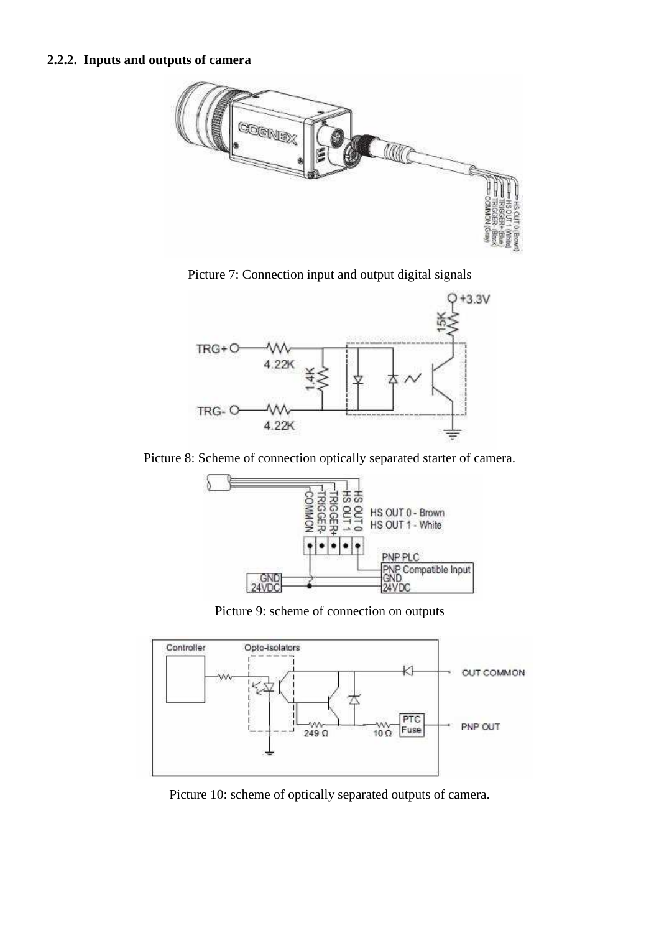## **2.2.2. Inputs and outputs of camera**



Picture 7: Connection input and output digital signals



Picture 8: Scheme of connection optically separated starter of camera.



Picture 9: scheme of connection on outputs



Picture 10: scheme of optically separated outputs of camera.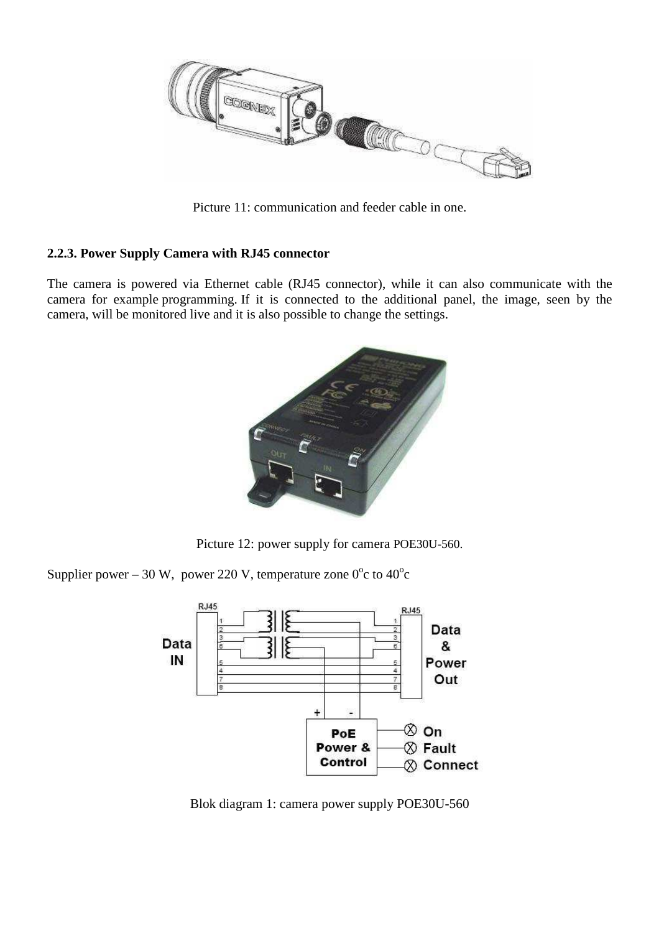

Picture 11: communication and feeder cable in one.

### **2.2.3. Power Supply Camera with RJ45 connector**

The camera is powered via Ethernet cable (RJ45 connector), while it can also communicate with the camera for example programming. If it is connected to the additional panel, the image, seen by the camera, will be monitored live and it is also possible to change the settings.



Picture 12: power supply for camera POE30U-560.

Supplier power – 30 W, power 220 V, temperature zone  $0^{\circ}$ c to  $40^{\circ}$ c



Blok diagram 1: camera power supply POE30U-560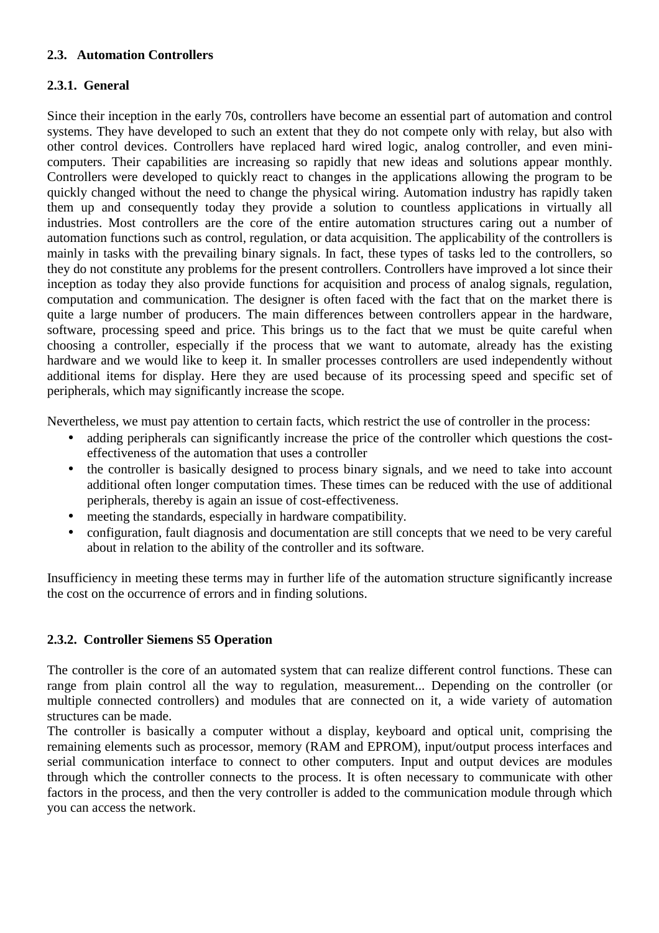#### **2.3. Automation Controllers**

## **2.3.1. General**

Since their inception in the early 70s, controllers have become an essential part of automation and control systems. They have developed to such an extent that they do not compete only with relay, but also with other control devices. Controllers have replaced hard wired logic, analog controller, and even minicomputers. Their capabilities are increasing so rapidly that new ideas and solutions appear monthly. Controllers were developed to quickly react to changes in the applications allowing the program to be quickly changed without the need to change the physical wiring. Automation industry has rapidly taken them up and consequently today they provide a solution to countless applications in virtually all industries. Most controllers are the core of the entire automation structures caring out a number of automation functions such as control, regulation, or data acquisition. The applicability of the controllers is mainly in tasks with the prevailing binary signals. In fact, these types of tasks led to the controllers, so they do not constitute any problems for the present controllers. Controllers have improved a lot since their inception as today they also provide functions for acquisition and process of analog signals, regulation, computation and communication. The designer is often faced with the fact that on the market there is quite a large number of producers. The main differences between controllers appear in the hardware, software, processing speed and price. This brings us to the fact that we must be quite careful when choosing a controller, especially if the process that we want to automate, already has the existing hardware and we would like to keep it. In smaller processes controllers are used independently without additional items for display. Here they are used because of its processing speed and specific set of peripherals, which may significantly increase the scope.

Nevertheless, we must pay attention to certain facts, which restrict the use of controller in the process:

- adding peripherals can significantly increase the price of the controller which questions the costeffectiveness of the automation that uses a controller
- the controller is basically designed to process binary signals, and we need to take into account additional often longer computation times. These times can be reduced with the use of additional peripherals, thereby is again an issue of cost-effectiveness.
- meeting the standards, especially in hardware compatibility.
- configuration, fault diagnosis and documentation are still concepts that we need to be very careful about in relation to the ability of the controller and its software.

Insufficiency in meeting these terms may in further life of the automation structure significantly increase the cost on the occurrence of errors and in finding solutions.

## **2.3.2. Controller Siemens S5 Operation**

The controller is the core of an automated system that can realize different control functions. These can range from plain control all the way to regulation, measurement... Depending on the controller (or multiple connected controllers) and modules that are connected on it, a wide variety of automation structures can be made.

The controller is basically a computer without a display, keyboard and optical unit, comprising the remaining elements such as processor, memory (RAM and EPROM), input/output process interfaces and serial communication interface to connect to other computers. Input and output devices are modules through which the controller connects to the process. It is often necessary to communicate with other factors in the process, and then the very controller is added to the communication module through which you can access the network.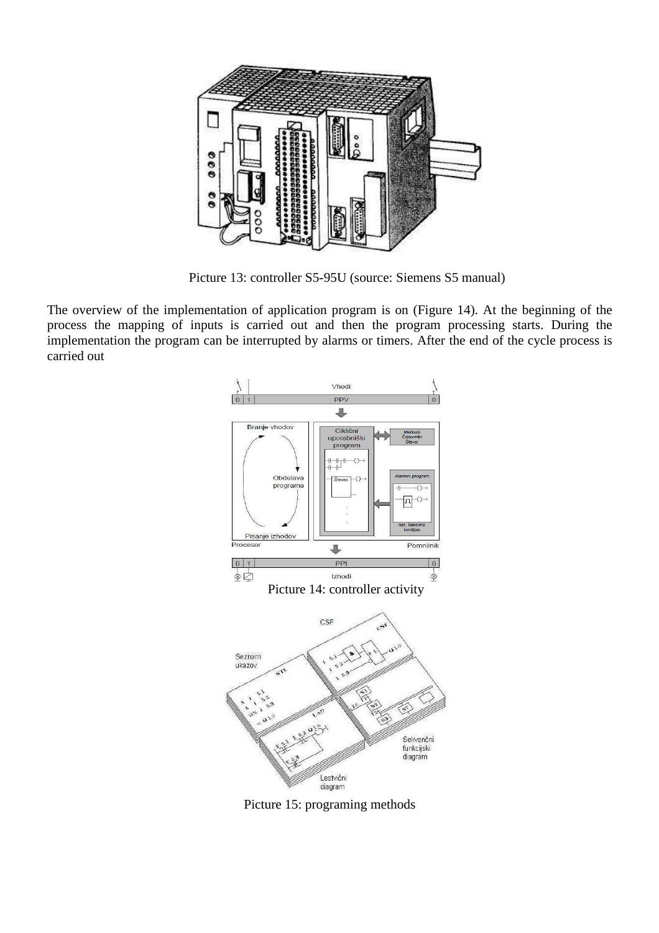

Picture 13: controller S5-95U (source: Siemens S5 manual)

The overview of the implementation of application program is on (Figure 14). At the beginning of the process the mapping of inputs is carried out and then the program processing starts. During the implementation the program can be interrupted by alarms or timers. After the end of the cycle process is carried out



Picture 15: programing methods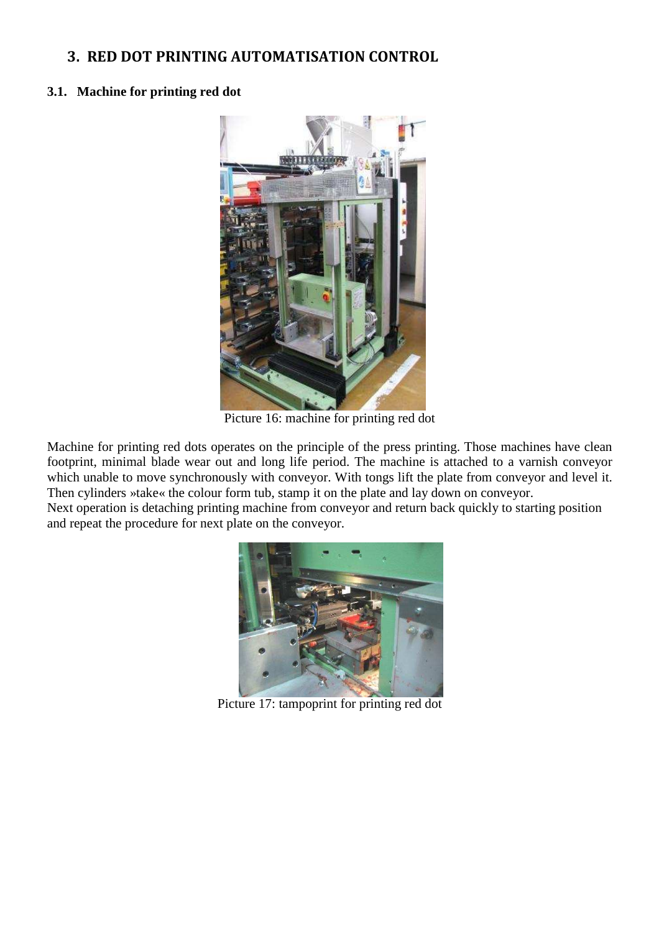## **3. RED DOT PRINTING AUTOMATISATION CONTROL**

#### **3.1. Machine for printing red dot**



Picture 16: machine for printing red dot

Machine for printing red dots operates on the principle of the press printing. Those machines have clean footprint, minimal blade wear out and long life period. The machine is attached to a varnish conveyor which unable to move synchronously with conveyor. With tongs lift the plate from conveyor and level it. Then cylinders »take« the colour form tub, stamp it on the plate and lay down on conveyor.

Next operation is detaching printing machine from conveyor and return back quickly to starting position and repeat the procedure for next plate on the conveyor.



Picture 17: tampoprint for printing red dot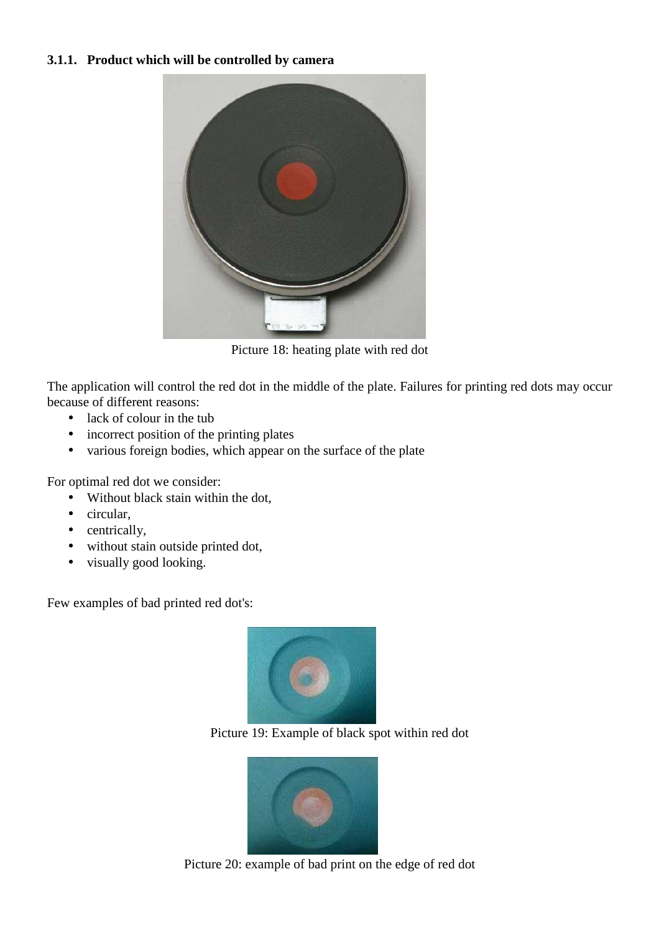## **3.1.1. Product which will be controlled by camera**



Picture 18: heating plate with red dot

The application will control the red dot in the middle of the plate. Failures for printing red dots may occur because of different reasons:

- lack of colour in the tub
- incorrect position of the printing plates
- various foreign bodies, which appear on the surface of the plate

For optimal red dot we consider:

- Without black stain within the dot,
- circular,
- centrically,
- without stain outside printed dot,
- visually good looking.

Few examples of bad printed red dot's:







Picture 20: example of bad print on the edge of red dot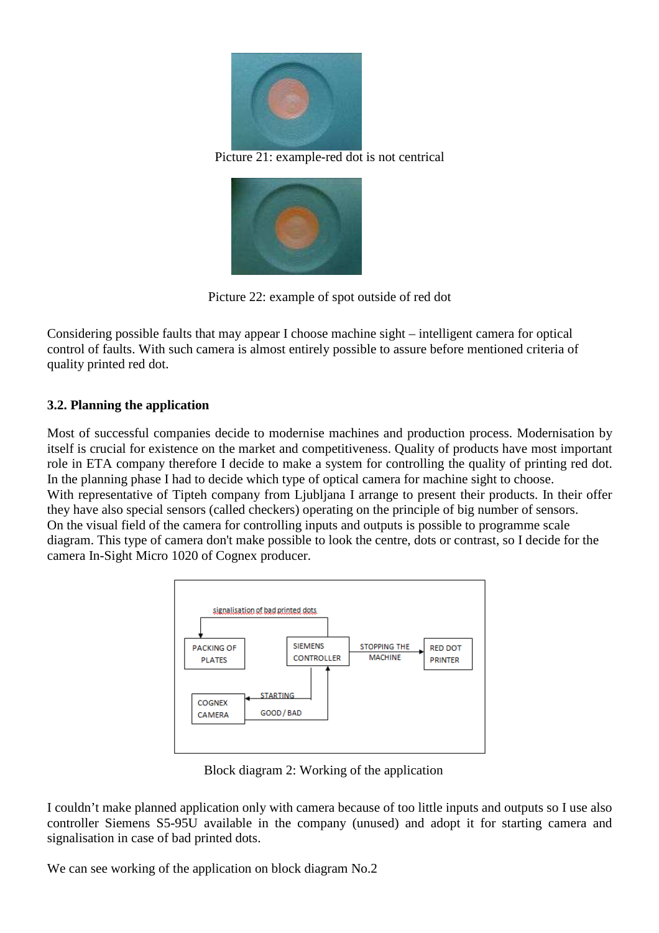

Picture 21: example-red dot is not centrical



Picture 22: example of spot outside of red dot

Considering possible faults that may appear I choose machine sight – intelligent camera for optical control of faults. With such camera is almost entirely possible to assure before mentioned criteria of quality printed red dot.

### **3.2. Planning the application**

Most of successful companies decide to modernise machines and production process. Modernisation by itself is crucial for existence on the market and competitiveness. Quality of products have most important role in ETA company therefore I decide to make a system for controlling the quality of printing red dot. In the planning phase I had to decide which type of optical camera for machine sight to choose. With representative of Tipteh company from Ljubljana I arrange to present their products. In their offer they have also special sensors (called checkers) operating on the principle of big number of sensors. On the visual field of the camera for controlling inputs and outputs is possible to programme scale diagram. This type of camera don't make possible to look the centre, dots or contrast, so I decide for the camera In-Sight Micro 1020 of Cognex producer.



Block diagram 2: Working of the application

I couldn't make planned application only with camera because of too little inputs and outputs so I use also controller Siemens S5-95U available in the company (unused) and adopt it for starting camera and signalisation in case of bad printed dots.

We can see working of the application on block diagram No.2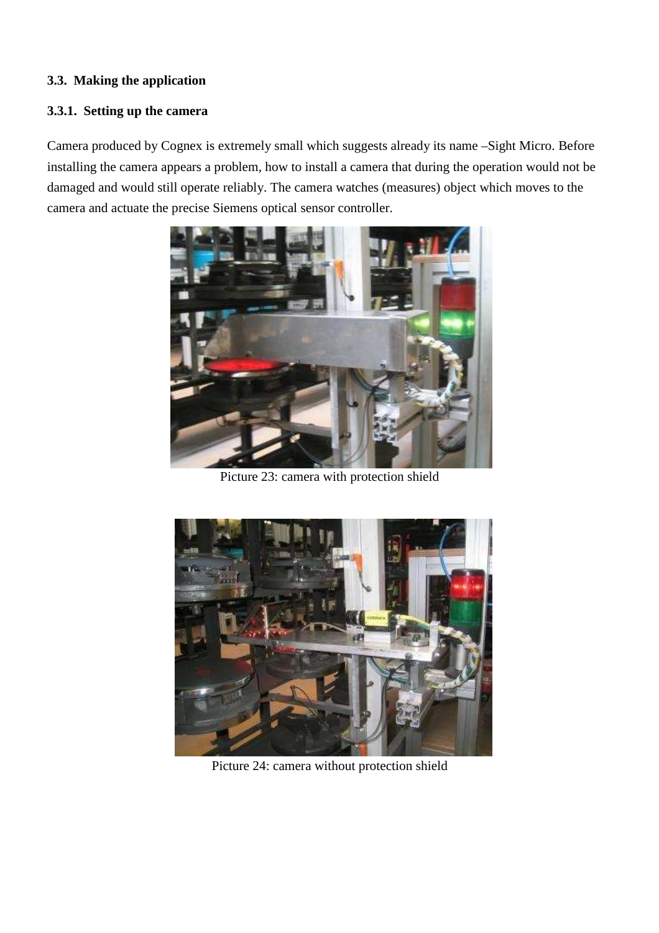### **3.3. Making the application**

## **3.3.1. Setting up the camera**

Camera produced by Cognex is extremely small which suggests already its name –Sight Micro. Before installing the camera appears a problem, how to install a camera that during the operation would not be damaged and would still operate reliably. The camera watches (measures) object which moves to the camera and actuate the precise Siemens optical sensor controller.



Picture 23: camera with protection shield



Picture 24: camera without protection shield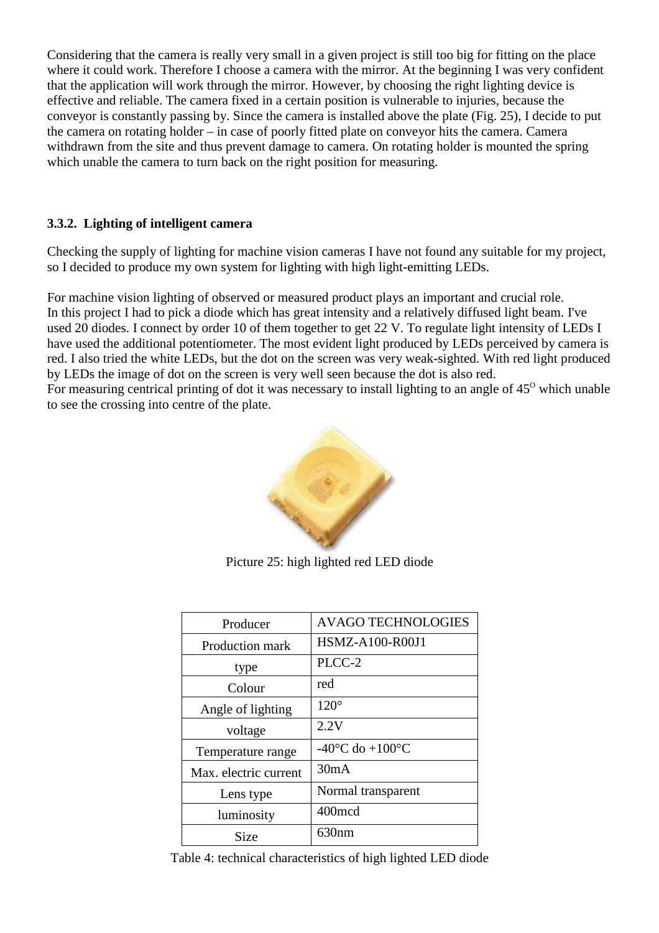Considering that the camera is really very small in a given project is still too big for fitting on the place where it could work. Therefore I choose a camera with the mirror. At the beginning I was very confident that the application will work through the mirror. However, by choosing the right lighting device is effective and reliable. The camera fixed in a certain position is vulnerable to injuries, because the conveyor is constantly passing by. Since the camera is installed above the plate (Fig. 25), I decide to put the camera on rotating holder – in case of poorly fitted plate on conveyor hits the camera. Camera withdrawn from the site and thus prevent damage to camera. On rotating holder is mounted the spring which unable the camera to turn back on the right position for measuring.

## **3.3.2. Lighting of intelligent camera**

Checking the supply of lighting for machine vision cameras I have not found any suitable for my project, so I decided to produce my own system for lighting with high light-emitting LEDs.

For machine vision lighting of observed or measured product plays an important and crucial role. In this project I had to pick a diode which has great intensity and a relatively diffused light beam. I've used 20 diodes. I connect by order 10 of them together to get 22 V. To regulate light intensity of LEDs I have used the additional potentiometer. The most evident light produced by LEDs perceived by camera is red. I also tried the white LEDs, but the dot on the screen was very weak-sighted. With red light produced by LEDs the image of dot on the screen is very well seen because the dot is also red. For measuring centrical printing of dot it was necessary to install lighting to an angle of  $45^{\circ}$  which unable

to see the crossing into centre of the plate.



Picture 25: high lighted red LED diode

| Producer              | <b>AVAGO TECHNOLOGIES</b>             |  |
|-----------------------|---------------------------------------|--|
| Production mark       | <b>HSMZ-A100-R00J1</b>                |  |
| type                  | PLCC-2                                |  |
| Colour                | red                                   |  |
| Angle of lighting     | $120^\circ$                           |  |
| voltage               | 2.2V                                  |  |
| Temperature range     | -40 $^{\circ}$ C do +100 $^{\circ}$ C |  |
| Max. electric current | 30mA                                  |  |
| Lens type             | Normal transparent                    |  |
| luminosity            | 400mcd                                |  |
| Size                  | 630 <sub>nm</sub>                     |  |

Table 4: technical characteristics of high lighted LED diode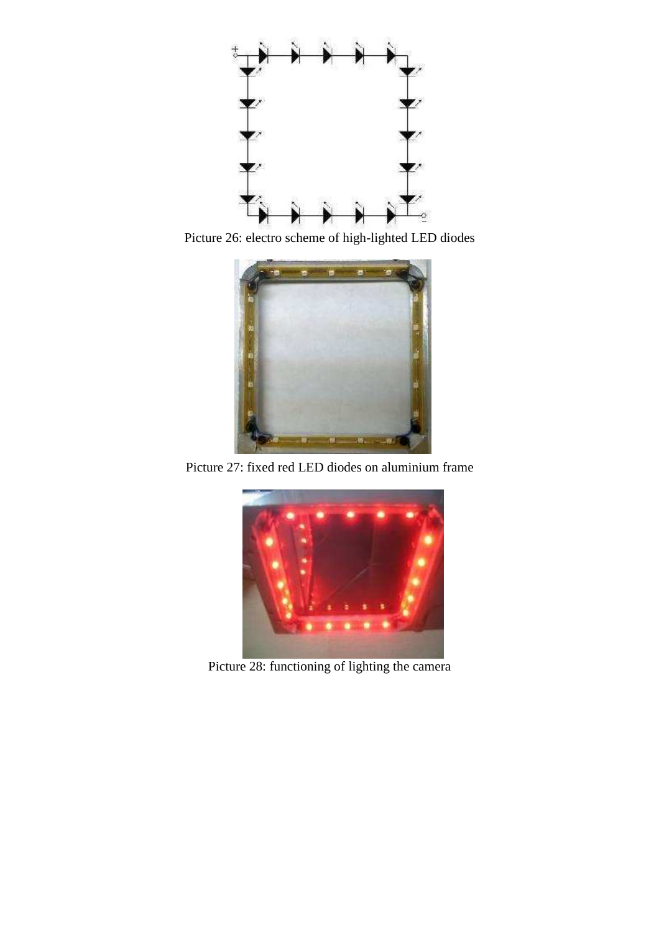

Picture 26: electro scheme of high-lighted LED diodes



Picture 27: fixed red LED diodes on aluminium frame



Picture 28: functioning of lighting the camera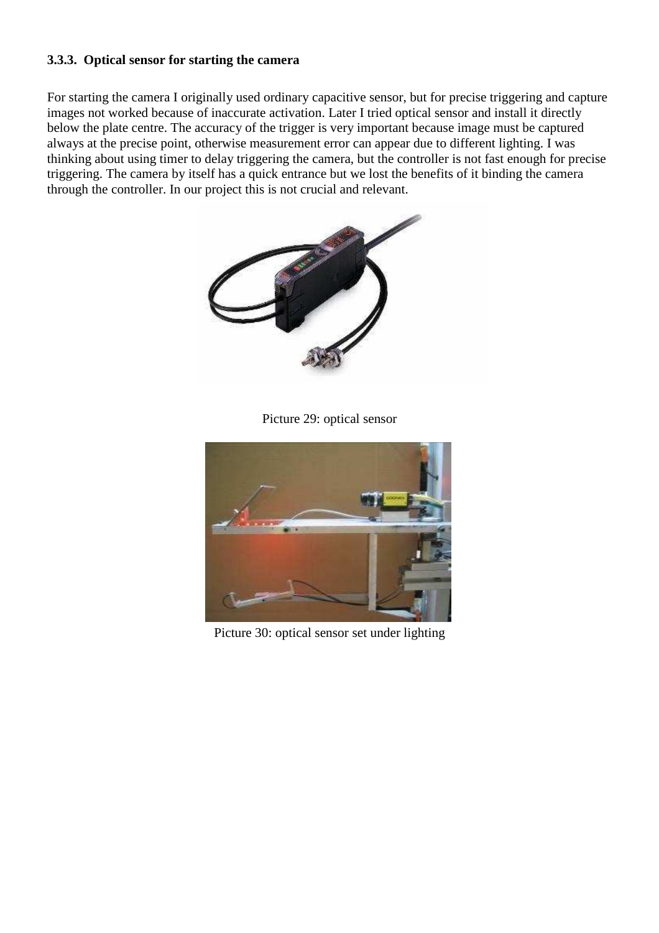## **3.3.3. Optical sensor for starting the camera**

For starting the camera I originally used ordinary capacitive sensor, but for precise triggering and capture images not worked because of inaccurate activation. Later I tried optical sensor and install it directly below the plate centre. The accuracy of the trigger is very important because image must be captured always at the precise point, otherwise measurement error can appear due to different lighting. I was thinking about using timer to delay triggering the camera, but the controller is not fast enough for precise triggering. The camera by itself has a quick entrance but we lost the benefits of it binding the camera through the controller. In our project this is not crucial and relevant.



Picture 29: optical sensor



Picture 30: optical sensor set under lighting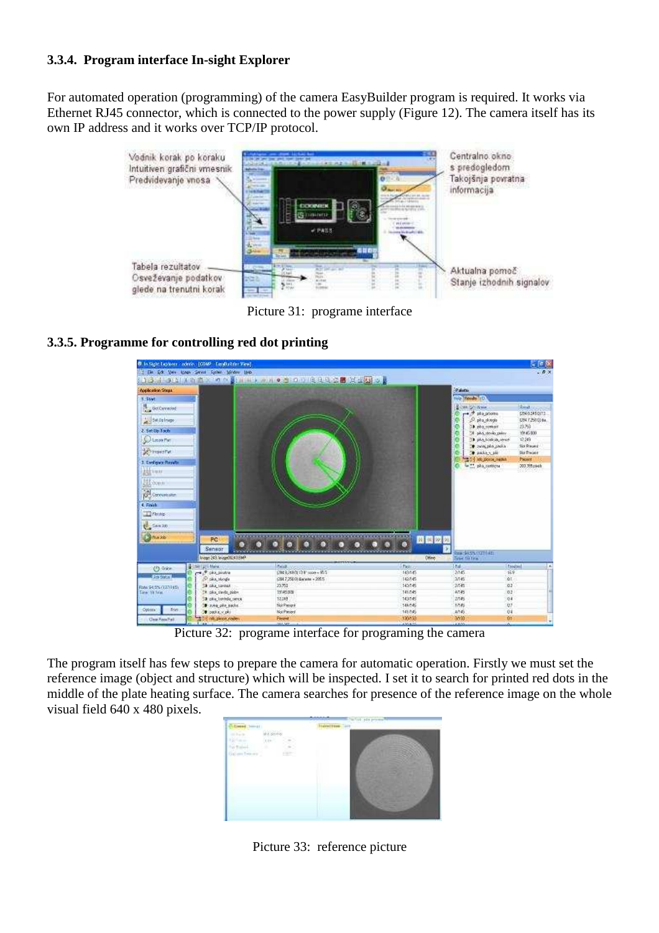## **3.3.4. Program interface In-sight Explorer**

For automated operation (programming) of the camera EasyBuilder program is required. It works via Ethernet RJ45 connector, which is connected to the power supply (Figure 12). The camera itself has its own IP address and it works over TCP/IP protocol.



Picture 31: programe interface

### **3.3.5. Programme for controlling red dot printing**



Picture 32: programe interface for programing the camera

The program itself has few steps to prepare the camera for automatic operation. Firstly we must set the reference image (object and structure) which will be inspected. I set it to search for printed red dots in the middle of the plate heating surface. The camera searches for presence of the reference image on the whole visual field 640 x 480 pixels.



Picture 33: reference picture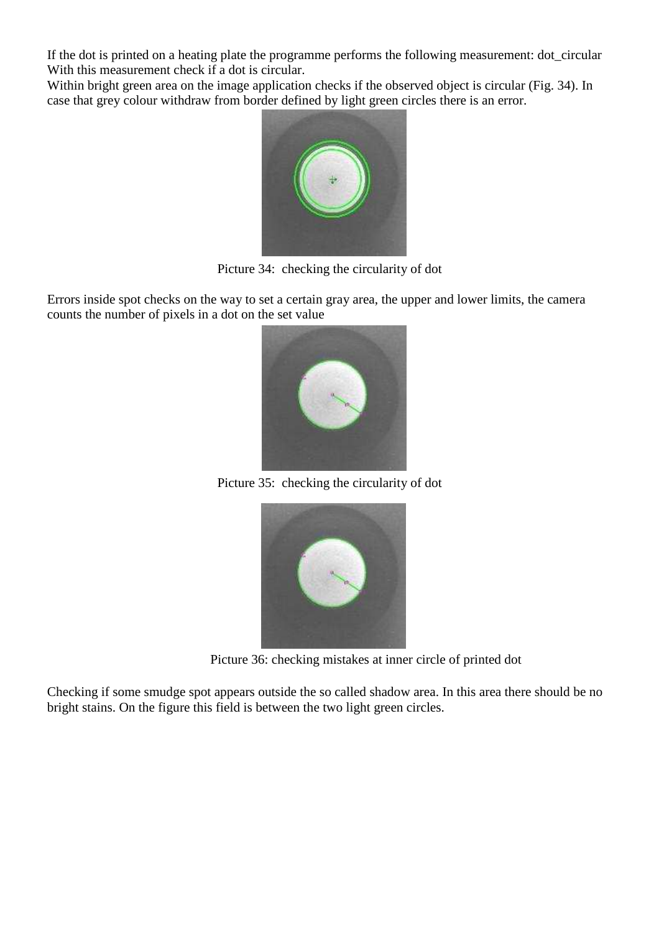If the dot is printed on a heating plate the programme performs the following measurement: dot\_circular With this measurement check if a dot is circular.

Within bright green area on the image application checks if the observed object is circular (Fig. 34). In case that grey colour withdraw from border defined by light green circles there is an error.



Picture 34: checking the circularity of dot

Errors inside spot checks on the way to set a certain gray area, the upper and lower limits, the camera counts the number of pixels in a dot on the set value



Picture 35: checking the circularity of dot



Picture 36: checking mistakes at inner circle of printed dot

Checking if some smudge spot appears outside the so called shadow area. In this area there should be no bright stains. On the figure this field is between the two light green circles.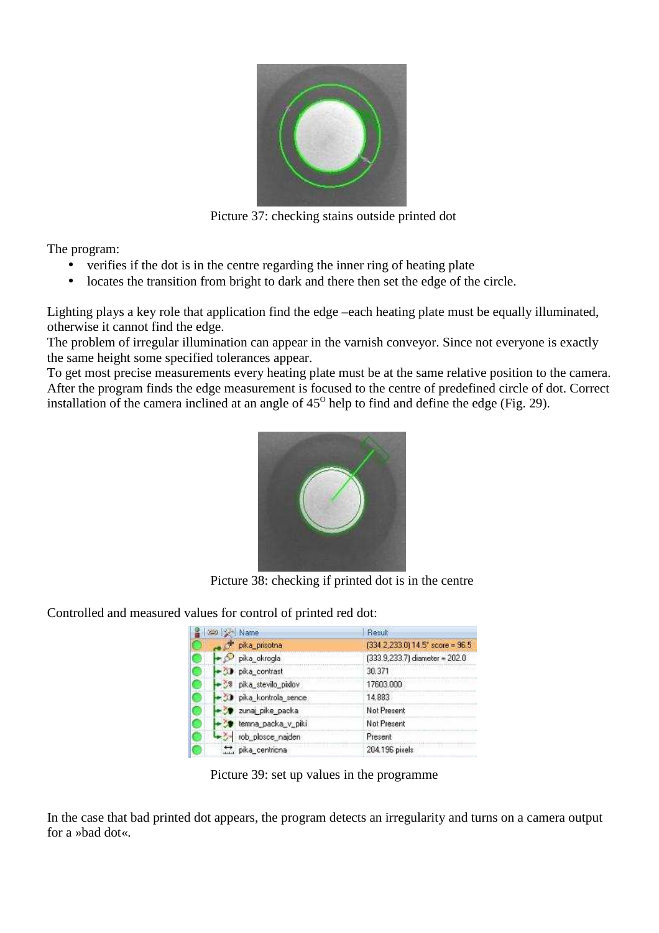

Picture 37: checking stains outside printed dot

The program:

- verifies if the dot is in the centre regarding the inner ring of heating plate
- locates the transition from bright to dark and there then set the edge of the circle.

Lighting plays a key role that application find the edge –each heating plate must be equally illuminated, otherwise it cannot find the edge.

The problem of irregular illumination can appear in the varnish conveyor. Since not everyone is exactly the same height some specified tolerances appear.

To get most precise measurements every heating plate must be at the same relative position to the camera. After the program finds the edge measurement is focused to the centre of predefined circle of dot. Correct installation of the camera inclined at an angle of  $45^{\circ}$  help to find and define the edge (Fig. 29).



Picture 38: checking if printed dot is in the centre

Controlled and measured values for control of printed red dot:

| call Set Name           | Result                             |
|-------------------------|------------------------------------|
| píka prisolna           | $[334.2,233.0]$ 14.5° score = 96.5 |
| pika_okrogla            | (333.9,233.7) diameter = 202.0     |
| D pika_contrast         | 30.371                             |
| bka_stevilo_pixlov      | 17603.000                          |
| -30 pika_kontrola_sence | 14,883                             |
| 20 zunaj pike packa     | Not Present                        |
| temna_packa_v_piki      | Not Present                        |
| ob_plosce_najden        | Present                            |
| pika_centricna          | 204.196 pixels                     |

Picture 39: set up values in the programme

In the case that bad printed dot appears, the program detects an irregularity and turns on a camera output for a »bad dot«.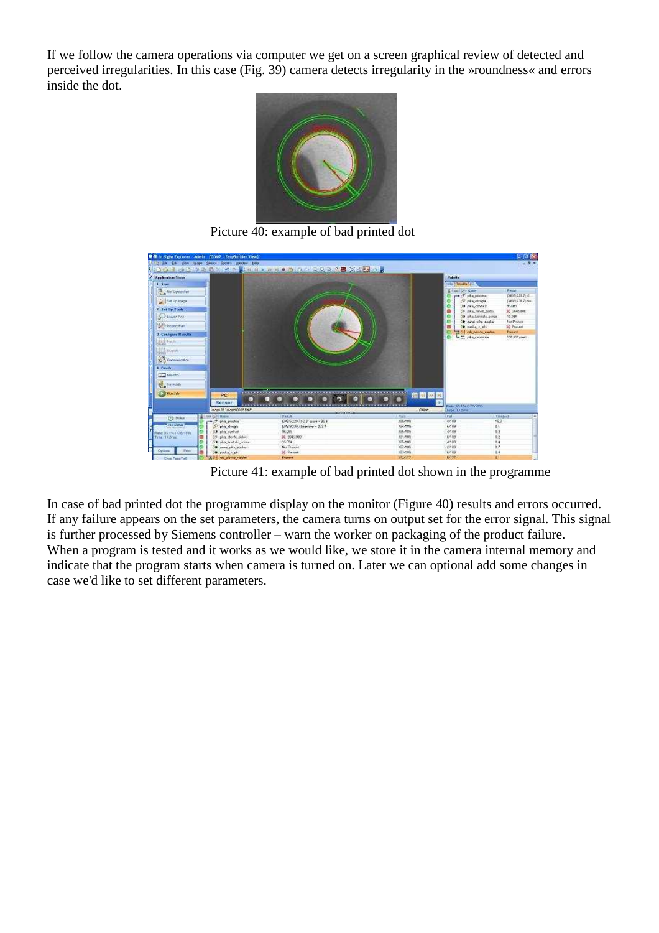If we follow the camera operations via computer we get on a screen graphical review of detected and perceived irregularities. In this case (Fig. 39) camera detects irregularity in the »roundness« and errors inside the dot.



Picture 40: example of bad printed dot



Picture 41: example of bad printed dot shown in the programme

In case of bad printed dot the programme display on the monitor (Figure 40) results and errors occurred. If any failure appears on the set parameters, the camera turns on output set for the error signal. This signal is further processed by Siemens controller – warn the worker on packaging of the product failure. When a program is tested and it works as we would like, we store it in the camera internal memory and indicate that the program starts when camera is turned on. Later we can optional add some changes in case we'd like to set different parameters.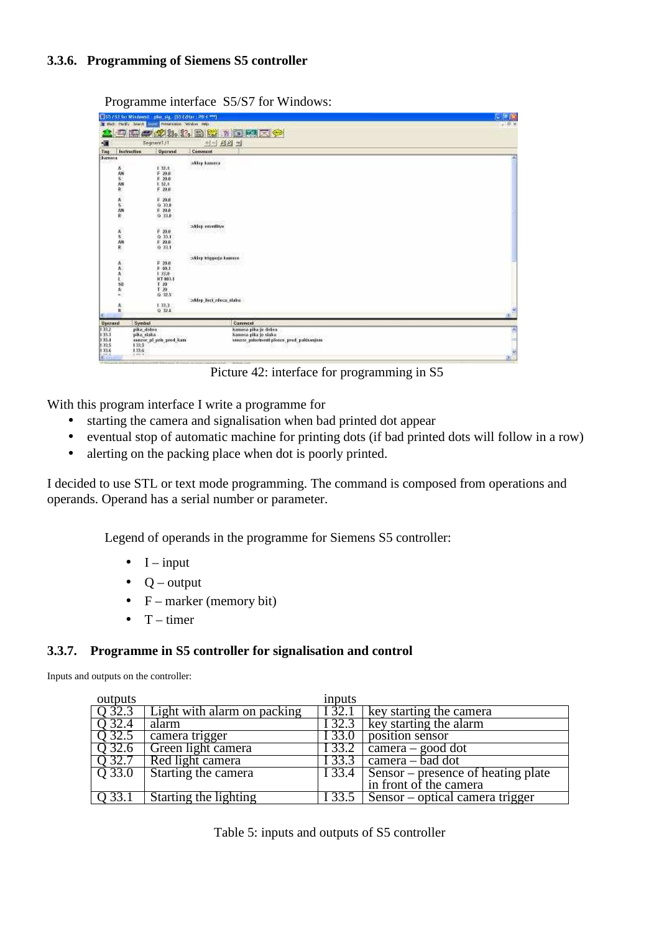#### **3.3.6. Programming of Siemens S5 controller**

Programme interface S5/S7 for Windows:

|                                                                                                                                                                                                                                                                                                                                                                                                                                       |             | [ ]\$57.51 to Mindwest, plus sig. [\$5 Editor, PB 4 HP] |                                             | にほね    |
|---------------------------------------------------------------------------------------------------------------------------------------------------------------------------------------------------------------------------------------------------------------------------------------------------------------------------------------------------------------------------------------------------------------------------------------|-------------|---------------------------------------------------------|---------------------------------------------|--------|
|                                                                                                                                                                                                                                                                                                                                                                                                                                       |             | In this rocky sears were interested widow reto          |                                             | 作×     |
|                                                                                                                                                                                                                                                                                                                                                                                                                                       |             |                                                         | 电阻电极等器 医囊豆蔻医体                               |        |
| 爤                                                                                                                                                                                                                                                                                                                                                                                                                                     |             | Segment <sub>11</sub>                                   | H-1 원원 의                                    |        |
| Tag                                                                                                                                                                                                                                                                                                                                                                                                                                   | Instruction | Operand                                                 | Communi                                     |        |
| <b>Sharroon</b>                                                                                                                                                                                                                                                                                                                                                                                                                       |             |                                                         |                                             |        |
|                                                                                                                                                                                                                                                                                                                                                                                                                                       |             | orom<br>1, 32, 4                                        | Milep kameca                                |        |
|                                                                                                                                                                                                                                                                                                                                                                                                                                       |             | F 20.0                                                  |                                             |        |
|                                                                                                                                                                                                                                                                                                                                                                                                                                       |             | F 20.0                                                  |                                             |        |
|                                                                                                                                                                                                                                                                                                                                                                                                                                       |             | 1.32.1                                                  |                                             |        |
|                                                                                                                                                                                                                                                                                                                                                                                                                                       | 五川の神        | F 20.6                                                  |                                             |        |
|                                                                                                                                                                                                                                                                                                                                                                                                                                       |             |                                                         |                                             |        |
|                                                                                                                                                                                                                                                                                                                                                                                                                                       |             | $F = 20.0$<br>0.33.0                                    |                                             |        |
|                                                                                                                                                                                                                                                                                                                                                                                                                                       |             | $F$ 20.0                                                |                                             |        |
|                                                                                                                                                                                                                                                                                                                                                                                                                                       | 大气酸         | 0.33.8                                                  |                                             |        |
|                                                                                                                                                                                                                                                                                                                                                                                                                                       |             | ---                                                     | CARD COUNTRY OF                             |        |
|                                                                                                                                                                                                                                                                                                                                                                                                                                       |             | r 20.0                                                  | ablep coveritive                            |        |
|                                                                                                                                                                                                                                                                                                                                                                                                                                       |             | 0.33.1                                                  | 도행자 발사 정치                                   |        |
|                                                                                                                                                                                                                                                                                                                                                                                                                                       |             | $0.05 - 1$                                              |                                             |        |
|                                                                                                                                                                                                                                                                                                                                                                                                                                       | 大地震院        | 0.33.1                                                  |                                             |        |
|                                                                                                                                                                                                                                                                                                                                                                                                                                       |             | SN 16                                                   |                                             |        |
|                                                                                                                                                                                                                                                                                                                                                                                                                                       |             |                                                         | aklop biggerja kansası.                     |        |
|                                                                                                                                                                                                                                                                                                                                                                                                                                       |             | F. 29.0                                                 |                                             |        |
|                                                                                                                                                                                                                                                                                                                                                                                                                                       |             | $F = 60.1$                                              |                                             |        |
|                                                                                                                                                                                                                                                                                                                                                                                                                                       |             | 1.33.0<br>KT-983.1                                      |                                             |        |
|                                                                                                                                                                                                                                                                                                                                                                                                                                       |             | T <sub>20</sub>                                         |                                             |        |
|                                                                                                                                                                                                                                                                                                                                                                                                                                       | AAAし知み。     | T 20                                                    |                                             |        |
|                                                                                                                                                                                                                                                                                                                                                                                                                                       |             | 0.325                                                   |                                             |        |
|                                                                                                                                                                                                                                                                                                                                                                                                                                       |             |                                                         | beklap haci edeca staba                     |        |
|                                                                                                                                                                                                                                                                                                                                                                                                                                       | Å           | $+13.3.$                                                |                                             |        |
|                                                                                                                                                                                                                                                                                                                                                                                                                                       |             | $0$ $B$ £                                               |                                             | $\sim$ |
| $\begin{array}{l} \textbf{0} \textbf{permed} \\ \textbf{1} \textbf{3} \textbf{3} \textbf{2} \\ \textbf{1} \textbf{3} \textbf{3} \textbf{4} \\ \textbf{1} \textbf{3} \textbf{3} \textbf{4} \\ \textbf{1} \textbf{3} \textbf{3} \textbf{5} \\ \textbf{1} \textbf{3} \textbf{3} \textbf{5} \\ \textbf{1} \textbf{3} \textbf{3} \textbf{5} \\ \textbf{1} \textbf{3} \textbf{3} \textbf{6} \\ \textbf{1} \textbf{3} \textbf{3} \textbf{6}$ |             | Symbol                                                  | Camment                                     |        |
|                                                                                                                                                                                                                                                                                                                                                                                                                                       |             | pika dabra                                              | Kamera pika je debra                        |        |
|                                                                                                                                                                                                                                                                                                                                                                                                                                       |             | pika daka.<br>PACHAS                                    | kamera pika je slaka.<br>CONSTANTICUORUCIUM | î      |
|                                                                                                                                                                                                                                                                                                                                                                                                                                       |             | mantor pl pola pred kam                                 | annost pubolnosti ploten prod poldamjoni    |        |
|                                                                                                                                                                                                                                                                                                                                                                                                                                       |             | 133.5<br>133.6                                          |                                             |        |
|                                                                                                                                                                                                                                                                                                                                                                                                                                       |             | 1,000.00                                                |                                             | 뉇      |
|                                                                                                                                                                                                                                                                                                                                                                                                                                       |             |                                                         |                                             | ×.     |

Picture 42: interface for programming in S5

With this program interface I write a programme for

- starting the camera and signalisation when bad printed dot appear
- eventual stop of automatic machine for printing dots (if bad printed dots will follow in a row)
- alerting on the packing place when dot is poorly printed.

I decided to use STL or text mode programming. The command is composed from operations and operands. Operand has a serial number or parameter.

Legend of operands in the programme for Siemens S5 controller:

- $\bullet$  I input
- $\bullet$  Q output
- $F$  marker (memory bit)
- $\bullet$  T timer

#### **3.3.7. Programme in S5 controller for signalisation and control**

Inputs and outputs on the controller:

| outputs  |                             | inputs |                                            |
|----------|-----------------------------|--------|--------------------------------------------|
| Q 32.3   | Light with alarm on packing | I 32.1 | key starting the camera                    |
| O 32.4   | alarm                       | I 32.3 | key starting the alarm                     |
| Q 32.5   | camera trigger              | I 33.0 | position sensor                            |
| O 32.6   | Green light camera          | I 33.2 | camera – good dot                          |
| Q 32.7   | Red light camera            | I 33.3 | camera – bad dot                           |
| $Q$ 33.0 | <b>Starting the camera</b>  |        | 133.4   Sensor – presence of heating plate |
|          |                             |        | in front of the camera                     |
| (133.1)  | Starting the lighting       | 133.5  | Sensor – optical camera trigger            |

Table 5: inputs and outputs of S5 controller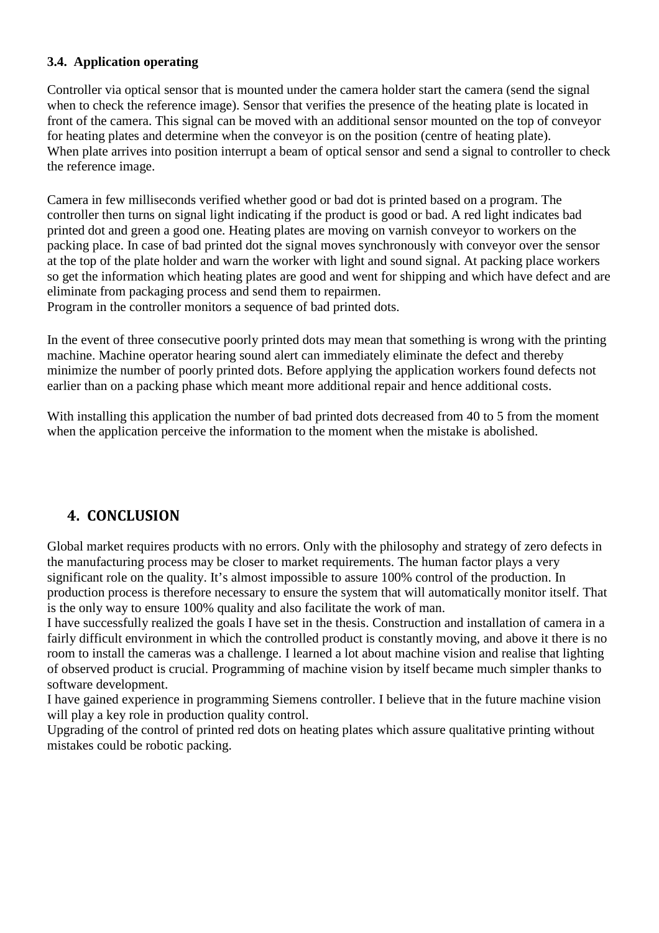## **3.4. Application operating**

Controller via optical sensor that is mounted under the camera holder start the camera (send the signal when to check the reference image). Sensor that verifies the presence of the heating plate is located in front of the camera. This signal can be moved with an additional sensor mounted on the top of conveyor for heating plates and determine when the conveyor is on the position (centre of heating plate). When plate arrives into position interrupt a beam of optical sensor and send a signal to controller to check the reference image.

Camera in few milliseconds verified whether good or bad dot is printed based on a program. The controller then turns on signal light indicating if the product is good or bad. A red light indicates bad printed dot and green a good one. Heating plates are moving on varnish conveyor to workers on the packing place. In case of bad printed dot the signal moves synchronously with conveyor over the sensor at the top of the plate holder and warn the worker with light and sound signal. At packing place workers so get the information which heating plates are good and went for shipping and which have defect and are eliminate from packaging process and send them to repairmen.

Program in the controller monitors a sequence of bad printed dots.

In the event of three consecutive poorly printed dots may mean that something is wrong with the printing machine. Machine operator hearing sound alert can immediately eliminate the defect and thereby minimize the number of poorly printed dots. Before applying the application workers found defects not earlier than on a packing phase which meant more additional repair and hence additional costs.

With installing this application the number of bad printed dots decreased from 40 to 5 from the moment when the application perceive the information to the moment when the mistake is abolished.

## **4. CONCLUSION**

Global market requires products with no errors. Only with the philosophy and strategy of zero defects in the manufacturing process may be closer to market requirements. The human factor plays a very significant role on the quality. It's almost impossible to assure 100% control of the production. In production process is therefore necessary to ensure the system that will automatically monitor itself. That is the only way to ensure 100% quality and also facilitate the work of man.

I have successfully realized the goals I have set in the thesis. Construction and installation of camera in a fairly difficult environment in which the controlled product is constantly moving, and above it there is no room to install the cameras was a challenge. I learned a lot about machine vision and realise that lighting of observed product is crucial. Programming of machine vision by itself became much simpler thanks to software development.

I have gained experience in programming Siemens controller. I believe that in the future machine vision will play a key role in production quality control.

Upgrading of the control of printed red dots on heating plates which assure qualitative printing without mistakes could be robotic packing.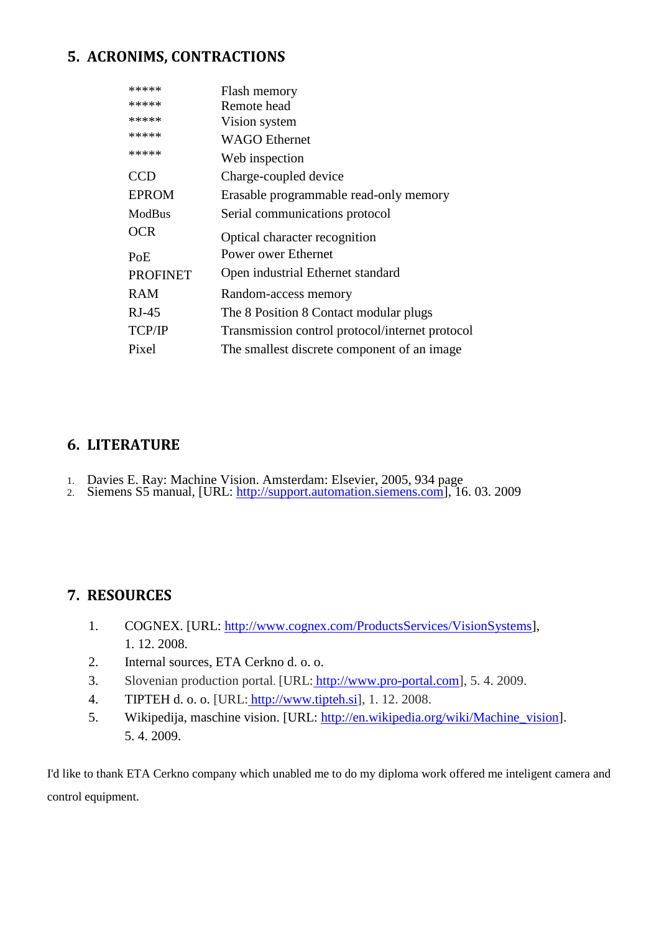## **5. ACRONIMS, CONTRACTIONS**

| Flash memory                                    |
|-------------------------------------------------|
| Remote head                                     |
| Vision system                                   |
| <b>WAGO</b> Ethernet                            |
| Web inspection                                  |
| Charge-coupled device                           |
| Erasable programmable read-only memory          |
| Serial communications protocol                  |
| Optical character recognition                   |
| <b>Power ower Ethernet</b>                      |
| Open industrial Ethernet standard               |
| Random-access memory                            |
| The 8 Position 8 Contact modular plugs          |
| Transmission control protocol/internet protocol |
| The smallest discrete component of an image     |
|                                                 |

## **6. LITERATURE**

- 1. Davies E. Ray: Machine Vision. Amsterdam: Elsevier, 2005, 934 page
- 2. Siemens S5 manual, [URL: http://support.automation.siemens.com], 16. 03. 2009

## **7. RESOURCES**

- 1. COGNEX. [URL: http://www.cognex.com/ProductsServices/VisionSystems], 1. 12. 2008.
- 2. Internal sources, ETA Cerkno d. o. o.
- 3. Slovenian production portal. [URL: http://www.pro-portal.com], 5. 4. 2009.
- 4. TIPTEH d. o. o. [URL: http://www.tipteh.si], 1. 12. 2008.
- 5. Wikipedija, maschine vision. [URL: http://en.wikipedia.org/wiki/Machine\_vision]. 5. 4. 2009.

I'd like to thank ETA Cerkno company which unabled me to do my diploma work offered me inteligent camera and control equipment.